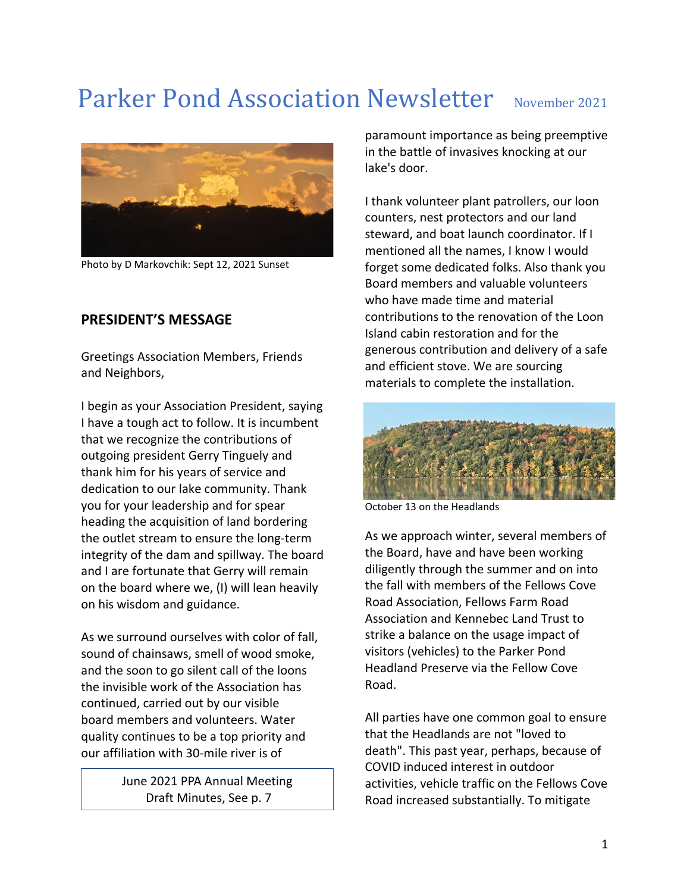# Parker Pond Association Newsletter November 2021



Photo by D Markovchik: Sept 12, 2021 Sunset

### **PRESIDENT'S MESSAGE**

Greetings Association Members, Friends and Neighbors,

I begin as your Association President, saying I have a tough act to follow. It is incumbent that we recognize the contributions of outgoing president Gerry Tinguely and thank him for his years of service and dedication to our lake community. Thank you for your leadership and for spear heading the acquisition of land bordering the outlet stream to ensure the long-term integrity of the dam and spillway. The board and I are fortunate that Gerry will remain on the board where we, (I) will lean heavily on his wisdom and guidance.

As we surround ourselves with color of fall, sound of chainsaws, smell of wood smoke, and the soon to go silent call of the loons the invisible work of the Association has continued, carried out by our visible board members and volunteers. Water quality continues to be a top priority and our affiliation with 30-mile river is of

> June 2021 PPA Annual Meeting Draft Minutes, See p. 7

paramount importance as being preemptive in the battle of invasives knocking at our lake's door.

I thank volunteer plant patrollers, our loon counters, nest protectors and our land steward, and boat launch coordinator. If I mentioned all the names, I know I would forget some dedicated folks. Also thank you Board members and valuable volunteers who have made time and material contributions to the renovation of the Loon Island cabin restoration and for the generous contribution and delivery of a safe and efficient stove. We are sourcing materials to complete the installation.



October 13 on the Headlands

As we approach winter, several members of the Board, have and have been working diligently through the summer and on into the fall with members of the Fellows Cove Road Association, Fellows Farm Road Association and Kennebec Land Trust to strike a balance on the usage impact of visitors (vehicles) to the Parker Pond Headland Preserve via the Fellow Cove Road.

All parties have one common goal to ensure that the Headlands are not "loved to death". This past year, perhaps, because of COVID induced interest in outdoor activities, vehicle traffic on the Fellows Cove Road increased substantially. To mitigate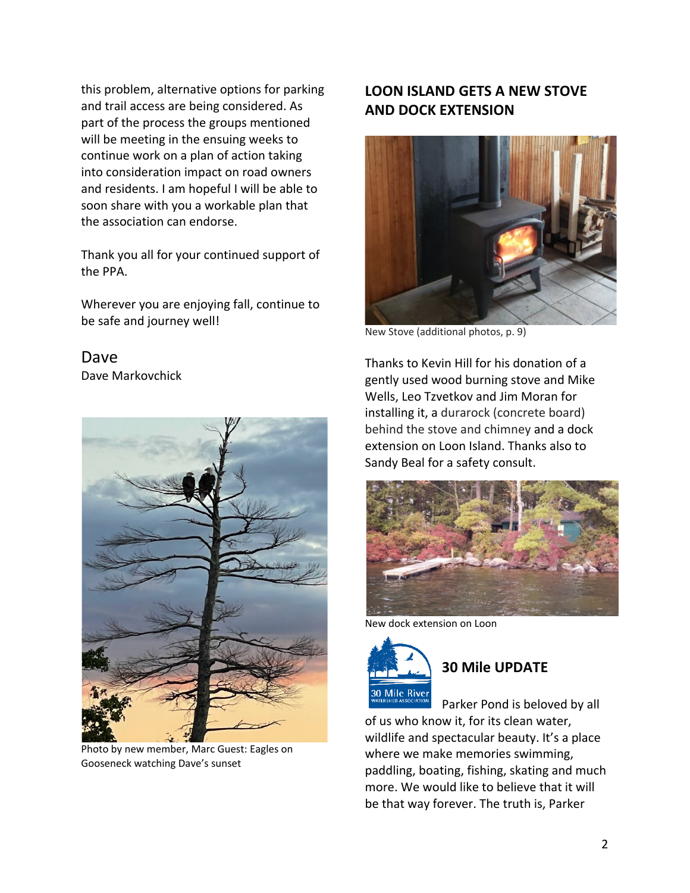this problem, alternative options for parking and trail access are being considered. As part of the process the groups mentioned will be meeting in the ensuing weeks to continue work on a plan of action taking into consideration impact on road owners and residents. I am hopeful I will be able to soon share with you a workable plan that the association can endorse.

Thank you all for your continued support of the PPA.

Wherever you are enjoying fall, continue to be safe and journey well!

Dave Dave Markovchick



Photo by new member, Marc Guest: Eagles on Gooseneck watching Dave's sunset

## **LOON ISLAND GETS A NEW STOVE AND DOCK EXTENSION**



New Stove (additional photos, p. 9)

Thanks to Kevin Hill for his donation of a gently used wood burning stove and Mike Wells, Leo Tzvetkov and Jim Moran for installing it, a durarock (concrete board) behind the stove and chimney and a dock extension on Loon Island. Thanks also to Sandy Beal for a safety consult.



New dock extension on Loon



# **30 Mile UPDATE**

Parker Pond is beloved by all of us who know it, for its clean water, wildlife and spectacular beauty. It's a place where we make memories swimming, paddling, boating, fishing, skating and much more. We would like to believe that it will be that way forever. The truth is, Parker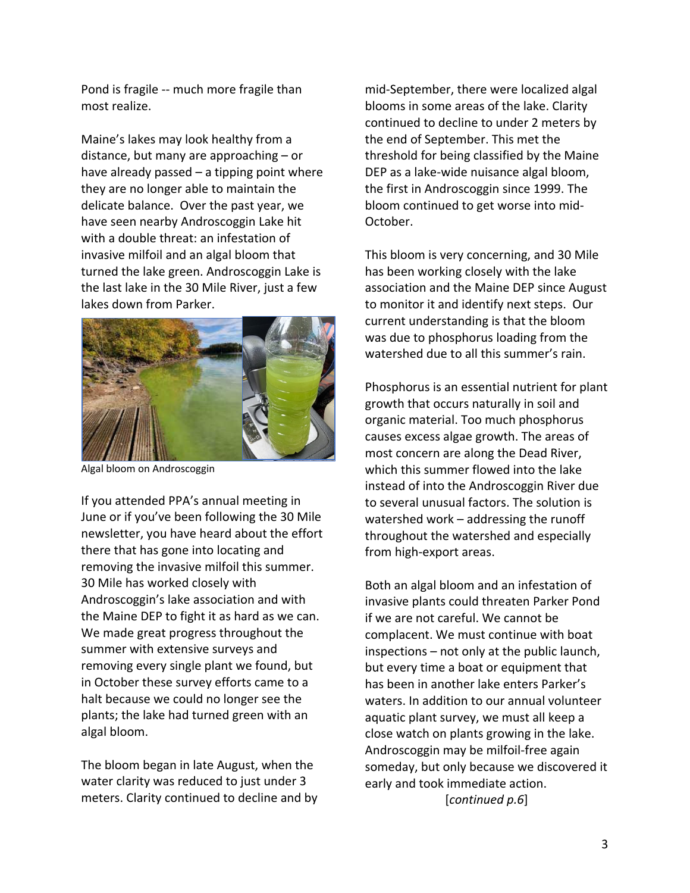Pond is fragile -- much more fragile than most realize.

Maine's lakes may look healthy from a distance, but many are approaching – or have already passed – a tipping point where they are no longer able to maintain the delicate balance. Over the past year, we have seen nearby Androscoggin Lake hit with a double threat: an infestation of invasive milfoil and an algal bloom that turned the lake green. Androscoggin Lake is the last lake in the 30 Mile River, just a few lakes down from Parker.



Algal bloom on Androscoggin

If you attended PPA's annual meeting in June or if you've been following the 30 Mile newsletter, you have heard about the effort there that has gone into locating and removing the invasive milfoil this summer. 30 Mile has worked closely with Androscoggin's lake association and with the Maine DEP to fight it as hard as we can. We made great progress throughout the summer with extensive surveys and removing every single plant we found, but in October these survey efforts came to a halt because we could no longer see the plants; the lake had turned green with an algal bloom.

The bloom began in late August, when the water clarity was reduced to just under 3 meters. Clarity continued to decline and by mid-September, there were localized algal blooms in some areas of the lake. Clarity continued to decline to under 2 meters by the end of September. This met the threshold for being classified by the Maine DEP as a lake-wide nuisance algal bloom, the first in Androscoggin since 1999. The bloom continued to get worse into mid-October.

This bloom is very concerning, and 30 Mile has been working closely with the lake association and the Maine DEP since August to monitor it and identify next steps. Our current understanding is that the bloom was due to phosphorus loading from the watershed due to all this summer's rain.

Phosphorus is an essential nutrient for plant growth that occurs naturally in soil and organic material. Too much phosphorus causes excess algae growth. The areas of most concern are along the Dead River, which this summer flowed into the lake instead of into the Androscoggin River due to several unusual factors. The solution is watershed work – addressing the runoff throughout the watershed and especially from high-export areas.

Both an algal bloom and an infestation of invasive plants could threaten Parker Pond if we are not careful. We cannot be complacent. We must continue with boat inspections – not only at the public launch, but every time a boat or equipment that has been in another lake enters Parker's waters. In addition to our annual volunteer aquatic plant survey, we must all keep a close watch on plants growing in the lake. Androscoggin may be milfoil-free again someday, but only because we discovered it early and took immediate action. [*continued p.6*]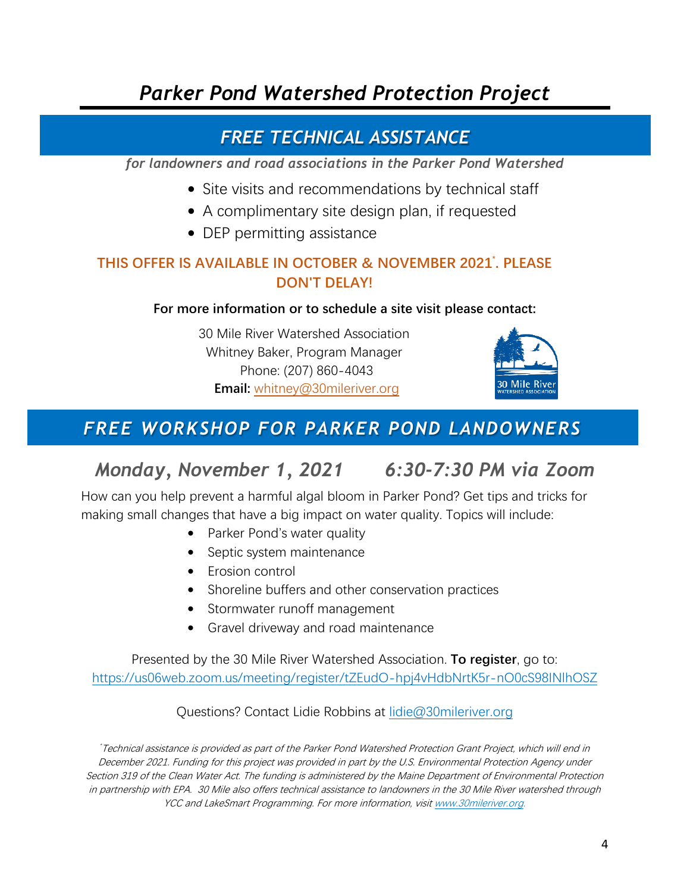# *Parker Pond Watershed Protection Project*

# *FREE TECHNICAL ASSISTANCE*

*for landowners and road associations in the Parker Pond Watershed*

- Site visits and recommendations by technical staff
- A complimentary site design plan, if requested
- DEP permitting assistance

## **THIS OFFER IS AVAILABLE IN OCTOBER & NOVEMBER 2021\* . PLEASE DON'T DELAY!**

## **For more information or to schedule a site visit please contact:**

30 Mile River Watershed Association Whitney Baker, Program Manager Phone: (207) 860-4043 **Email:** [whitney@30mileriver.org](mailto:whitney@30mileriver.org)



# *FREE WORKSHOP FOR PARKER POND LANDOWNERS*

# *Monday, November 1, 2021 6:30-7:30 PM via Zoom*

How can you help prevent a harmful algal bloom in Parker Pond? Get tips and tricks for making small changes that have a big impact on water quality. Topics will include:

- Parker Pond's water quality
- Septic system maintenance
- Erosion control
- Shoreline buffers and other conservation practices
- Stormwater runoff management
- Gravel driveway and road maintenance

Presented by the 30 Mile River Watershed Association. **To register**, go to: <https://us06web.zoom.us/meeting/register/tZEudO-hpj4vHdbNrtK5r-nO0cS98INlhOSZ>

Questions? Contact Lidie Robbins at [lidie@30mileriver.org](mailto:lidie@30mileriver.org)

\* Technical assistance is provided as part of the Parker Pond Watershed Protection Grant Project, which will end in December 2021. Funding for this project was provided in part by the U.S. Environmental Protection Agency under Section 319 of the Clean Water Act. The funding is administered by the Maine Department of Environmental Protection in partnership with EPA. 30 Mile also offers technical assistance to landowners in the 30 Mile River watershed through YCC and LakeSmart Programming. For more information, visi[t www.30mileriver.org.](http://www.30mileriver.org/)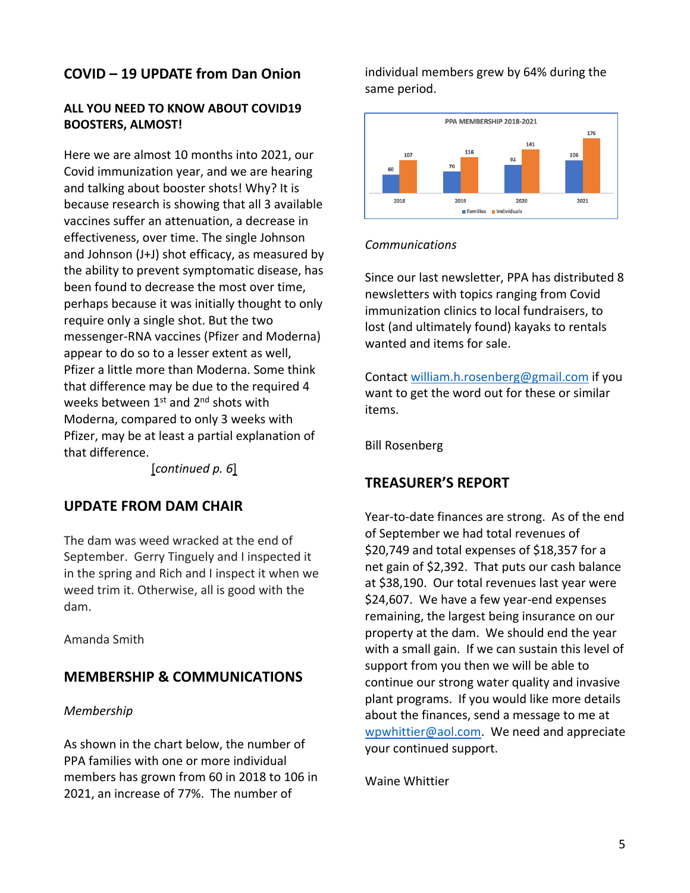## **COVID – 19 UPDATE from Dan Onion**

## **ALL YOU NEED TO KNOW ABOUT COVID19 BOOSTERS, ALMOST!**

Here we are almost 10 months into 2021, our Covid immunization year, and we are hearing and talking about booster shots! Why? It is because research is showing that all 3 available vaccines suffer an attenuation, a decrease in effectiveness, over time. The single Johnson and Johnson (J+J) shot efficacy, as measured by the ability to prevent symptomatic disease, has been found to decrease the most over time, perhaps because it was initially thought to only require only a single shot. But the two messenger-RNA vaccines (Pfizer and Moderna) appear to do so to a lesser extent as well, Pfizer a little more than Moderna. Some think that difference may be due to the required 4 weeks between  $1^{st}$  and  $2^{nd}$  shots with Moderna, compared to only 3 weeks with Pfizer, may be at least a partial explanation of that difference.

[*continued p. 6*]

## **UPDATE FROM DAM CHAIR**

The dam was weed wracked at the end of September. Gerry Tinguely and I inspected it in the spring and Rich and I inspect it when we weed trim it. Otherwise, all is good with the dam.

Amanda Smith

## **MEMBERSHIP & COMMUNICATIONS**

### *Membership*

As shown in the chart below, the number of PPA families with one or more individual members has grown from 60 in 2018 to 106 in 2021, an increase of 77%. The number of

individual members grew by 64% during the same period.



## *Communications*

Since our last newsletter, PPA has distributed 8 newsletters with topics ranging from Covid immunization clinics to local fundraisers, to lost (and ultimately found) kayaks to rentals wanted and items for sale.

Contact [william.h.rosenberg@gmail.com](mailto:william.h.rosenberg@gmail.com) if you want to get the word out for these or similar items.

Bill Rosenberg

## **TREASURER'S REPORT**

Year-to-date finances are strong. As of the end of September we had total revenues of \$20,749 and total expenses of \$18,357 for a net gain of \$2,392. That puts our cash balance at \$38,190. Our total revenues last year were \$24,607. We have a few year-end expenses remaining, the largest being insurance on our property at the dam. We should end the year with a small gain. If we can sustain this level of support from you then we will be able to continue our strong water quality and invasive plant programs. If you would like more details about the finances, send a message to me at [wpwhittier@aol.com.](mailto:wpwhittier@aol.com) We need and appreciate your continued support.

Waine Whittier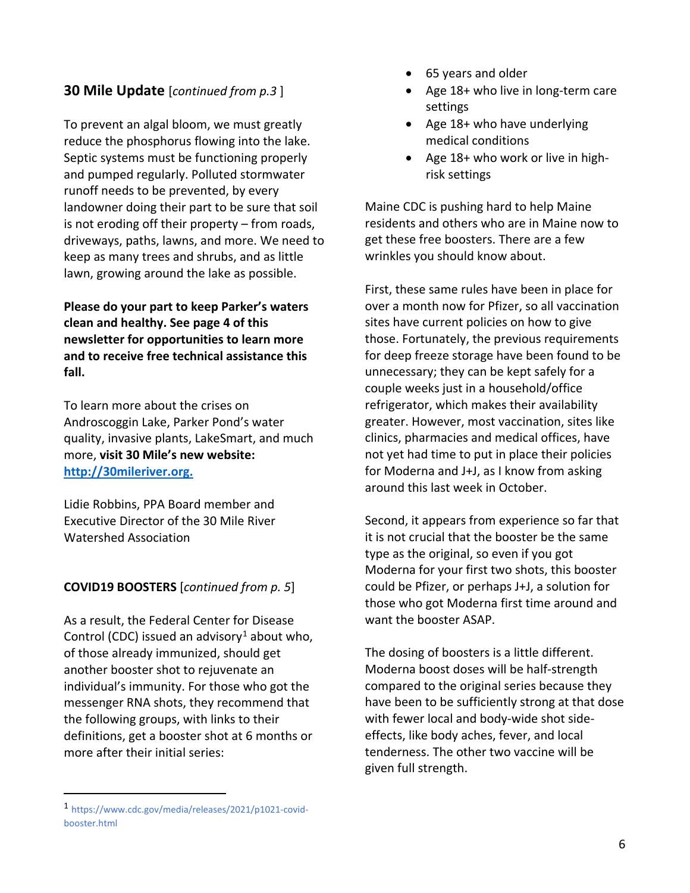## **30 Mile Update** [*continued from p.3* ]

To prevent an algal bloom, we must greatly reduce the phosphorus flowing into the lake. Septic systems must be functioning properly and pumped regularly. Polluted stormwater runoff needs to be prevented, by every landowner doing their part to be sure that soil is not eroding off their property – from roads, driveways, paths, lawns, and more. We need to keep as many trees and shrubs, and as little lawn, growing around the lake as possible.

**Please do your part to keep Parker's waters clean and healthy. See page 4 of this newsletter for opportunities to learn more and to receive free technical assistance this fall.** 

To learn more about the crises on Androscoggin Lake, Parker Pond's water quality, invasive plants, LakeSmart, and much more, **visit 30 Mile's new website: [http://30mileriver.org.](http://30mileriver.org./)** 

Lidie Robbins, PPA Board member and Executive Director of the 30 Mile River Watershed Association

## **COVID19 BOOSTERS** [*continued from p. 5*]

As a result, the Federal Center for Disease Control (CDC) issued an advisory<sup>[1](#page-5-0)</sup> about who, of those already immunized, should get another booster shot to rejuvenate an individual's immunity. For those who got the messenger RNA shots, they recommend that the following groups, with links to their definitions, get a booster shot at 6 months or more after their initial series:

 $\overline{a}$ 

- 65 years and older
- Age 18+ who live in long-term care [settings](https://www.cdc.gov/coronavirus/2019-ncov/vaccines/booster-shot.html#long-term-care)
- Age 18+ who have [underlying](https://www.cdc.gov/coronavirus/2019-ncov/need-extra-precautions/people-with-medical-conditions.html)  [medical conditions](https://www.cdc.gov/coronavirus/2019-ncov/need-extra-precautions/people-with-medical-conditions.html)
- Age 18+ who work or live in [high](https://www.cdc.gov/coronavirus/2019-ncov/vaccines/booster-shot.html#HighRisk)[risk settings](https://www.cdc.gov/coronavirus/2019-ncov/vaccines/booster-shot.html#HighRisk)

Maine CDC is pushing hard to help Maine residents and others who are in Maine now to get these free boosters. There are a few wrinkles you should know about.

First, these same rules have been in place for over a month now for Pfizer, so all vaccination sites have current policies on how to give those. Fortunately, the previous requirements for deep freeze storage have been found to be unnecessary; they can be kept safely for a couple weeks just in a household/office refrigerator, which makes their availability greater. However, most vaccination, sites like clinics, pharmacies and medical offices, have not yet had time to put in place their policies for Moderna and J+J, as I know from asking around this last week in October.

Second, it appears from experience so far that it is not crucial that the booster be the same type as the original, so even if you got Moderna for your first two shots, this booster could be Pfizer, or perhaps J+J, a solution for those who got Moderna first time around and want the booster ASAP.

The dosing of boosters is a little different. Moderna boost doses will be half-strength compared to the original series because they have been to be sufficiently strong at that dose with fewer local and body-wide shot sideeffects, like body aches, fever, and local tenderness. The other two vaccine will be given full strength.

<span id="page-5-0"></span><sup>1</sup> https://www.cdc.gov/media/releases/2021/p1021-covidbooster.html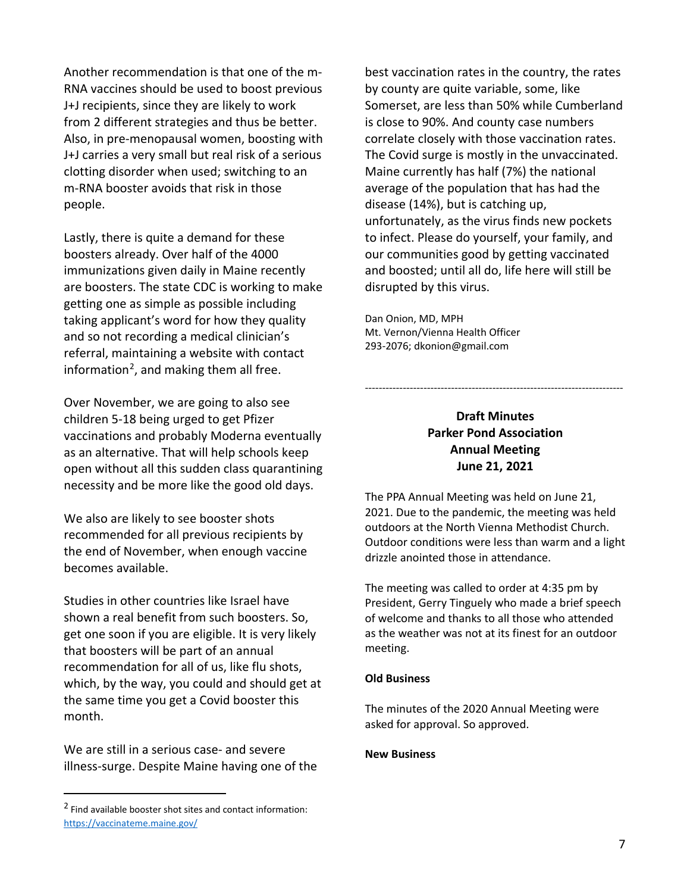Another recommendation is that one of the m-RNA vaccines should be used to boost previous J+J recipients, since they are likely to work from 2 different strategies and thus be better. Also, in pre-menopausal women, boosting with J+J carries a very small but real risk of a serious clotting disorder when used; switching to an m-RNA booster avoids that risk in those people.

Lastly, there is quite a demand for these boosters already. Over half of the 4000 immunizations given daily in Maine recently are boosters. The state CDC is working to make getting one as simple as possible including taking applicant's word for how they quality and so not recording a medical clinician's referral, maintaining a website with contact information<sup>[2](#page-6-0)</sup>, and making them all free.

Over November, we are going to also see children 5-18 being urged to get Pfizer vaccinations and probably Moderna eventually as an alternative. That will help schools keep open without all this sudden class quarantining necessity and be more like the good old days.

We also are likely to see booster shots recommended for all previous recipients by the end of November, when enough vaccine becomes available.

Studies in other countries like Israel have shown a real benefit from such boosters. So, get one soon if you are eligible. It is very likely that boosters will be part of an annual recommendation for all of us, like flu shots, which, by the way, you could and should get at the same time you get a Covid booster this month.

We are still in a serious case- and severe illness-surge. Despite Maine having one of the

 $\overline{a}$ 

best vaccination rates in the country, the rates by county are quite variable, some, like Somerset, are less than 50% while Cumberland is close to 90%. And county case numbers correlate closely with those vaccination rates. The Covid surge is mostly in the unvaccinated. Maine currently has half (7%) the national average of the population that has had the disease (14%), but is catching up, unfortunately, as the virus finds new pockets to infect. Please do yourself, your family, and our communities good by getting vaccinated and boosted; until all do, life here will still be disrupted by this virus.

Dan Onion, MD, MPH Mt. Vernon/Vienna Health Officer 293-2076[; dkonion@gmail.com](mailto:dkonion@gmail.com)

## **Draft Minutes Parker Pond Association Annual Meeting June 21, 2021**

---------------------------------------------------------------------------

The PPA Annual Meeting was held on June 21, 2021. Due to the pandemic, the meeting was held outdoors at the North Vienna Methodist Church. Outdoor conditions were less than warm and a light drizzle anointed those in attendance.

The meeting was called to order at 4:35 pm by President, Gerry Tinguely who made a brief speech of welcome and thanks to all those who attended as the weather was not at its finest for an outdoor meeting.

### **Old Business**

The minutes of the 2020 Annual Meeting were asked for approval. So approved.

### **New Business**

<span id="page-6-0"></span><sup>2</sup> Find available booster shot sites and contact information: <https://vaccinateme.maine.gov/>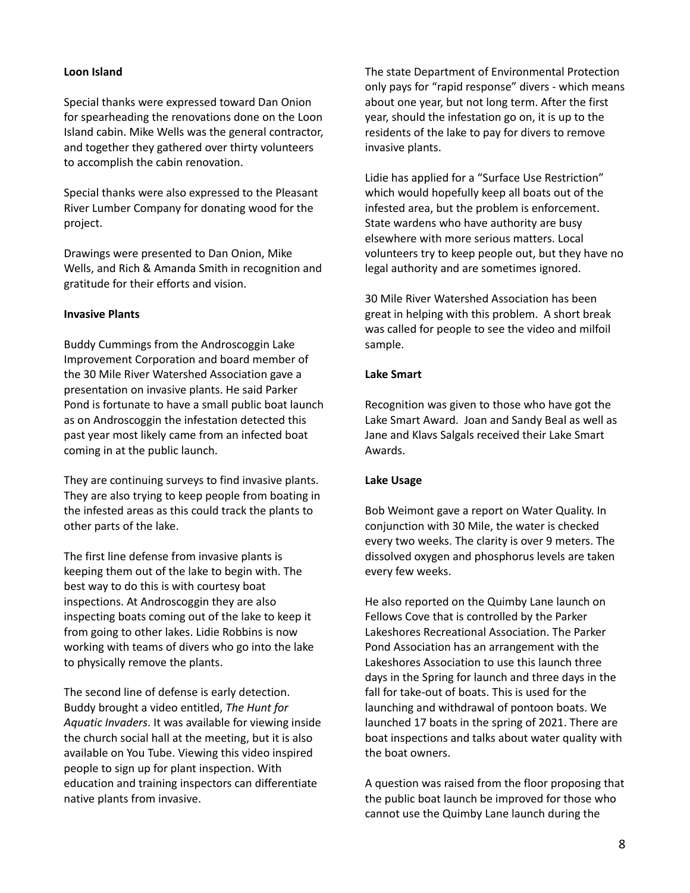### **Loon Island**

Special thanks were expressed toward Dan Onion for spearheading the renovations done on the Loon Island cabin. Mike Wells was the general contractor, and together they gathered over thirty volunteers to accomplish the cabin renovation.

Special thanks were also expressed to the Pleasant River Lumber Company for donating wood for the project.

Drawings were presented to Dan Onion, Mike Wells, and Rich & Amanda Smith in recognition and gratitude for their efforts and vision.

#### **Invasive Plants**

Buddy Cummings from the Androscoggin Lake Improvement Corporation and board member of the 30 Mile River Watershed Association gave a presentation on invasive plants. He said Parker Pond is fortunate to have a small public boat launch as on Androscoggin the infestation detected this past year most likely came from an infected boat coming in at the public launch.

They are continuing surveys to find invasive plants. They are also trying to keep people from boating in the infested areas as this could track the plants to other parts of the lake.

The first line defense from invasive plants is keeping them out of the lake to begin with. The best way to do this is with courtesy boat inspections. At Androscoggin they are also inspecting boats coming out of the lake to keep it from going to other lakes. Lidie Robbins is now working with teams of divers who go into the lake to physically remove the plants.

The second line of defense is early detection. Buddy brought a video entitled, *The Hunt for Aquatic Invaders*. It was available for viewing inside the church social hall at the meeting, but it is also available on You Tube. Viewing this video inspired people to sign up for plant inspection. With education and training inspectors can differentiate native plants from invasive.

The state Department of Environmental Protection only pays for "rapid response" divers - which means about one year, but not long term. After the first year, should the infestation go on, it is up to the residents of the lake to pay for divers to remove invasive plants.

Lidie has applied for a "Surface Use Restriction" which would hopefully keep all boats out of the infested area, but the problem is enforcement. State wardens who have authority are busy elsewhere with more serious matters. Local volunteers try to keep people out, but they have no legal authority and are sometimes ignored.

30 Mile River Watershed Association has been great in helping with this problem. A short break was called for people to see the video and milfoil sample.

#### **Lake Smart**

Recognition was given to those who have got the Lake Smart Award. Joan and Sandy Beal as well as Jane and Klavs Salgals received their Lake Smart Awards.

#### **Lake Usage**

Bob Weimont gave a report on Water Quality. In conjunction with 30 Mile, the water is checked every two weeks. The clarity is over 9 meters. The dissolved oxygen and phosphorus levels are taken every few weeks.

He also reported on the Quimby Lane launch on Fellows Cove that is controlled by the Parker Lakeshores Recreational Association. The Parker Pond Association has an arrangement with the Lakeshores Association to use this launch three days in the Spring for launch and three days in the fall for take-out of boats. This is used for the launching and withdrawal of pontoon boats. We launched 17 boats in the spring of 2021. There are boat inspections and talks about water quality with the boat owners.

A question was raised from the floor proposing that the public boat launch be improved for those who cannot use the Quimby Lane launch during the